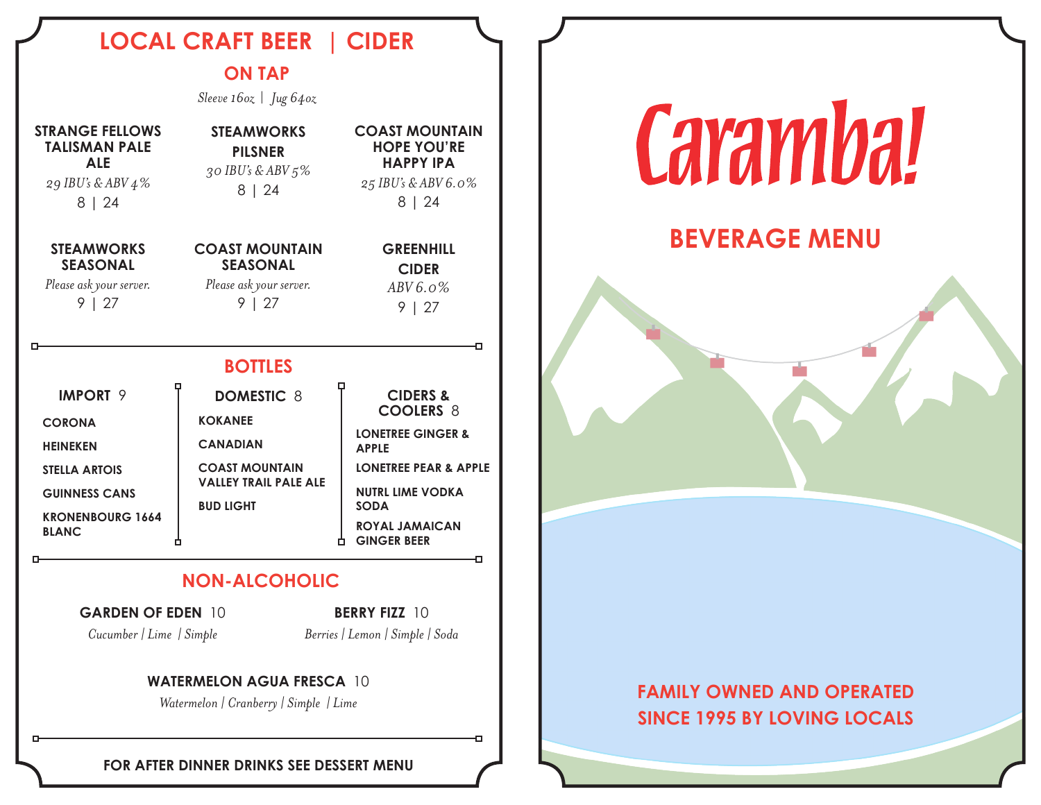# **LOCAL CRAFT BEER | CIDER**

## **ON TAP**

*Sleeve 16oz* | *Jug 64oz*

| <b>STRANGE FELLOWS</b><br><b>TALISMAN PALE</b><br><b>ALE</b><br>29 IBU's & ABV 4%<br>8   24                                                         | <b>STEAMWORKS</b><br><b>PILSNER</b><br>30 IBU's & ABV 5%<br>8   24                                                                  | <b>COAST MOUNTAIN</b><br><b>HOPE YOU'RE</b><br><b>HAPPY IPA</b><br>25 IBU's & ABV 6.0%<br>8   24                                                                                                                          |
|-----------------------------------------------------------------------------------------------------------------------------------------------------|-------------------------------------------------------------------------------------------------------------------------------------|---------------------------------------------------------------------------------------------------------------------------------------------------------------------------------------------------------------------------|
| <b>STEAMWORKS</b><br><b>SEASONAL</b><br>Please ask your server.<br>9   27                                                                           | <b>COAST MOUNTAIN</b><br><b>SEASONAL</b><br>Please ask your server.<br>9   27                                                       | <b>GREENHILL</b><br><b>CIDER</b><br>$ABV6.0\%$<br>9   27                                                                                                                                                                  |
| <b>BOTTLES</b>                                                                                                                                      |                                                                                                                                     |                                                                                                                                                                                                                           |
| <b>IMPORT 9</b><br><b>CORONA</b><br><b>HEINEKEN</b><br><b>STELLA ARTOIS</b><br><b>GUINNESS CANS</b><br><b>KRONENBOURG 1664</b><br><b>BLANC</b><br>о | <b>DOMESTIC 8</b><br><b>KOKANEE</b><br><b>CANADIAN</b><br><b>COAST MOUNTAIN</b><br><b>VALLEY TRAIL PALE ALE</b><br><b>BUD LIGHT</b> | <b>CIDERS &amp;</b><br><b>COOLERS 8</b><br><b>LONETREE GINGER &amp;</b><br><b>APPLE</b><br><b>LONETREE PEAR &amp; APPLE</b><br><b>NUTRL LIME VODKA</b><br><b>SODA</b><br><b>ROYAL JAMAICAN</b><br><b>GINGER BEER</b><br>o |
| <b>NON-ALCOHOLIC</b>                                                                                                                                |                                                                                                                                     |                                                                                                                                                                                                                           |
| <b>GARDEN OF EDEN 10</b><br><b>BERRY FIZZ 10</b><br>Cucumber   Lime   Simple<br>Berries   Lemon   Simple   Soda                                     |                                                                                                                                     |                                                                                                                                                                                                                           |
| <b>WATERMELON AGUA FRESCA 10</b>                                                                                                                    |                                                                                                                                     |                                                                                                                                                                                                                           |

*Watermelon | Cranberry | Simple | Lime*

**FOR AFTER DINNER DRINKS SEE DESSERT MENU**

п

# Caramba!

# **BEVERAGE MENU**

## **FAMILY OWNED AND OPERATED SINCE 1995 BY LOVING LOCALS**